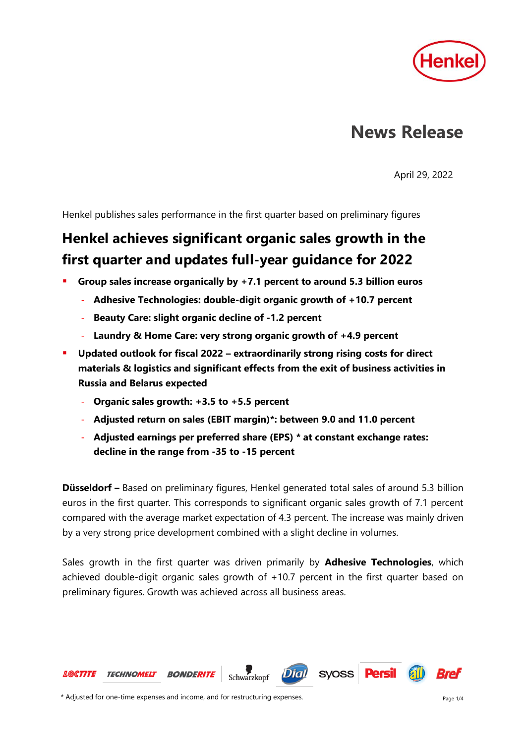

# **News Release**

April 29, 2022

Henkel publishes sales performance in the first quarter based on preliminary figures

## **Henkel achieves significant organic sales growth in the first quarter and updates full-year guidance for 2022**

- Group sales increase organically by +7.1 percent to around 5.3 billion euros
	- **Adhesive Technologies: double-digit organic growth of +10.7 percent**
	- Beauty Care: slight organic decline of -1.2 percent
	- Laundry & Home Care: very strong organic growth of +4.9 percent
- **Updated outlook for fiscal 2022 – extraordinarily strong rising costs for direct materials & logistics and significant effects from the exit of business activities in Russia and Belarus expected**
	- **Organic sales growth: +3.5 to +5.5 percent**
	- **Adjusted return on sales (EBIT margin)\*: between 9.0 and 11.0 percent**
	- **Adjusted earnings per preferred share (EPS) \* at constant exchange rates: decline in the range from -35 to -15 percent**

**Düsseldorf –** Based on preliminary figures, Henkel generated total sales of around 5.3 billion euros in the first quarter. This corresponds to significant organic sales growth of 7.1 percent compared with the average market expectation of 4.3 percent. The increase was mainly driven by a very strong price development combined with a slight decline in volumes.

Sales growth in the first quarter was driven primarily by **Adhesive Technologies**, which achieved double-digit organic sales growth of +10.7 percent in the first quarter based on preliminary figures. Growth was achieved across all business areas.

Schwarzkopf

**Dial** 

syoss **Persil** 



**BONDERITE** 

**LOCTITE TECHNOMELT**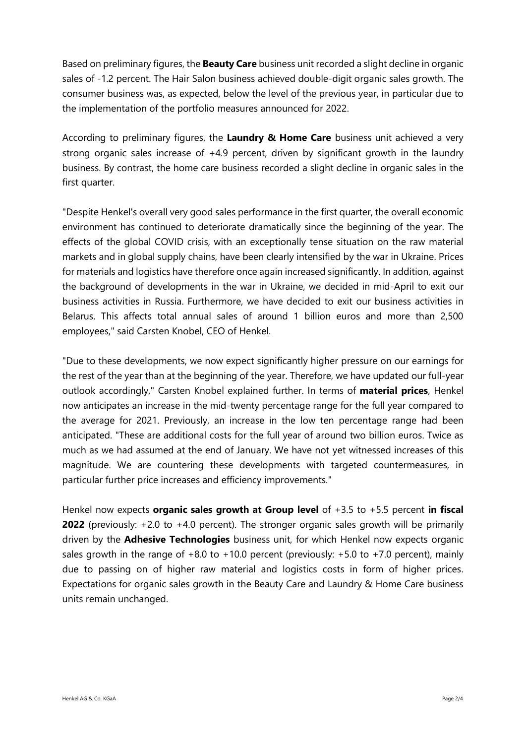Based on preliminary figures, the **Beauty Care** business unit recorded a slight decline in organic sales of -1.2 percent. The Hair Salon business achieved double-digit organic sales growth. The consumer business was, as expected, below the level of the previous year, in particular due to the implementation of the portfolio measures announced for 2022.

According to preliminary figures, the **Laundry & Home Care** business unit achieved a very strong organic sales increase of +4.9 percent, driven by significant growth in the laundry business. By contrast, the home care business recorded a slight decline in organic sales in the first quarter.

"Despite Henkel's overall very good sales performance in the first quarter, the overall economic environment has continued to deteriorate dramatically since the beginning of the year. The effects of the global COVID crisis, with an exceptionally tense situation on the raw material markets and in global supply chains, have been clearly intensified by the war in Ukraine. Prices for materials and logistics have therefore once again increased significantly. In addition, against the background of developments in the war in Ukraine, we decided in mid-April to exit our business activities in Russia. Furthermore, we have decided to exit our business activities in Belarus. This affects total annual sales of around 1 billion euros and more than 2,500 employees," said Carsten Knobel, CEO of Henkel.

"Due to these developments, we now expect significantly higher pressure on our earnings for the rest of the year than at the beginning of the year. Therefore, we have updated our full-year outlook accordingly," Carsten Knobel explained further. In terms of **material prices**, Henkel now anticipates an increase in the mid-twenty percentage range for the full year compared to the average for 2021. Previously, an increase in the low ten percentage range had been anticipated. "These are additional costs for the full year of around two billion euros. Twice as much as we had assumed at the end of January. We have not yet witnessed increases of this magnitude. We are countering these developments with targeted countermeasures, in particular further price increases and efficiency improvements."

Henkel now expects **organic sales growth at Group level** of +3.5 to +5.5 percent **in fiscal 2022** (previously: +2.0 to +4.0 percent). The stronger organic sales growth will be primarily driven by the **Adhesive Technologies** business unit, for which Henkel now expects organic sales growth in the range of  $+8.0$  to  $+10.0$  percent (previously:  $+5.0$  to  $+7.0$  percent), mainly due to passing on of higher raw material and logistics costs in form of higher prices. Expectations for organic sales growth in the Beauty Care and Laundry & Home Care business units remain unchanged.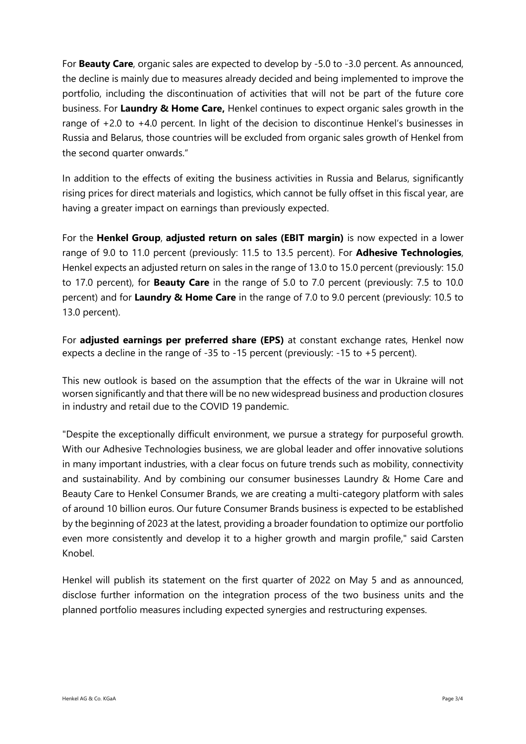For **Beauty Care**, organic sales are expected to develop by -5.0 to -3.0 percent. As announced, the decline is mainly due to measures already decided and being implemented to improve the portfolio, including the discontinuation of activities that will not be part of the future core business. For **Laundry & Home Care,** Henkel continues to expect organic sales growth in the range of +2.0 to +4.0 percent. In light of the decision to discontinue Henkel's businesses in Russia and Belarus, those countries will be excluded from organic sales growth of Henkel from the second quarter onwards."

In addition to the effects of exiting the business activities in Russia and Belarus, significantly rising prices for direct materials and logistics, which cannot be fully offset in this fiscal year, are having a greater impact on earnings than previously expected.

For the **Henkel Group**, **adjusted return on sales (EBIT margin)** is now expected in a lower range of 9.0 to 11.0 percent (previously: 11.5 to 13.5 percent). For **Adhesive Technologies**, Henkel expects an adjusted return on sales in the range of 13.0 to 15.0 percent (previously: 15.0 to 17.0 percent), for **Beauty Care** in the range of 5.0 to 7.0 percent (previously: 7.5 to 10.0 percent) and for **Laundry & Home Care** in the range of 7.0 to 9.0 percent (previously: 10.5 to 13.0 percent).

For **adjusted earnings per preferred share (EPS)** at constant exchange rates, Henkel now expects a decline in the range of -35 to -15 percent (previously: -15 to +5 percent).

This new outlook is based on the assumption that the effects of the war in Ukraine will not worsen significantly and that there will be no new widespread business and production closures in industry and retail due to the COVID 19 pandemic.

"Despite the exceptionally difficult environment, we pursue a strategy for purposeful growth. With our Adhesive Technologies business, we are global leader and offer innovative solutions in many important industries, with a clear focus on future trends such as mobility, connectivity and sustainability. And by combining our consumer businesses Laundry & Home Care and Beauty Care to Henkel Consumer Brands, we are creating a multi-category platform with sales of around 10 billion euros. Our future Consumer Brands business is expected to be established by the beginning of 2023 at the latest, providing a broader foundation to optimize our portfolio even more consistently and develop it to a higher growth and margin profile," said Carsten Knobel.

Henkel will publish its statement on the first quarter of 2022 on May 5 and as announced, disclose further information on the integration process of the two business units and the planned portfolio measures including expected synergies and restructuring expenses.